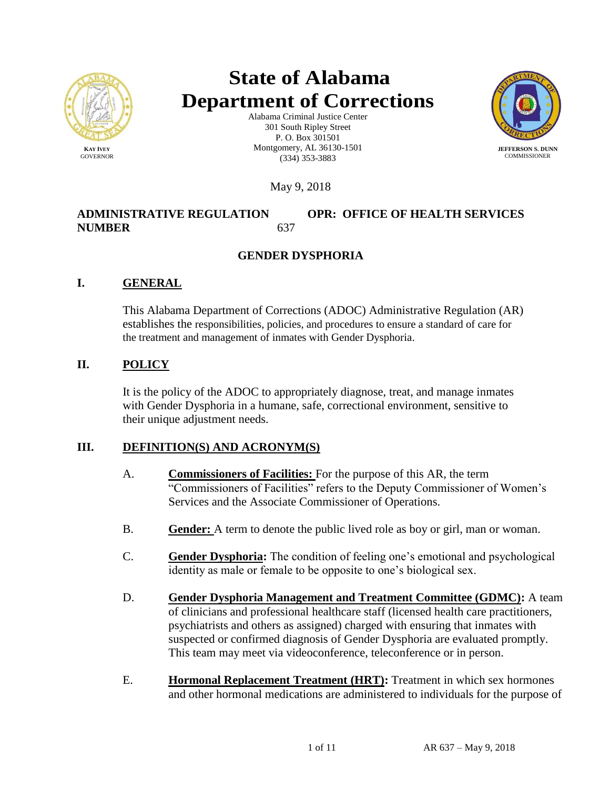

# **State of Alabama Department of Corrections**

Alabama Criminal Justice Center 301 South Ripley Street P. O. Box 301501 Montgomery, AL 36130-1501 (334) 353-3883



May 9, 2018

# **ADMINISTRATIVE REGULATION OPR: OFFICE OF HEALTH SERVICES NUMBER** 637

# **GENDER DYSPHORIA**

# **I. GENERAL**

This Alabama Department of Corrections (ADOC) Administrative Regulation (AR) establishes the responsibilities, policies, and procedures to ensure a standard of care for the treatment and management of inmates with Gender Dysphoria.

# **II. POLICY**

It is the policy of the ADOC to appropriately diagnose, treat, and manage inmates with Gender Dysphoria in a humane, safe, correctional environment, sensitive to their unique adjustment needs.

# **III. DEFINITION(S) AND ACRONYM(S)**

- A. **Commissioners of Facilities:** For the purpose of this AR, the term "Commissioners of Facilities" refers to the Deputy Commissioner of Women's Services and the Associate Commissioner of Operations.
- B. **Gender:** A term to denote the public lived role as boy or girl, man or woman.
- C. **Gender Dysphoria:** The condition of feeling one's emotional and psychological identity as male or female to be opposite to one's biological sex.
- D. **Gender Dysphoria Management and Treatment Committee (GDMC):** A team of clinicians and professional healthcare staff (licensed health care practitioners, psychiatrists and others as assigned) charged with ensuring that inmates with suspected or confirmed diagnosis of Gender Dysphoria are evaluated promptly. This team may meet via videoconference, teleconference or in person.
- E. **Hormonal Replacement Treatment (HRT):** Treatment in which sex hormones and other hormonal medications are administered to individuals for the purpose of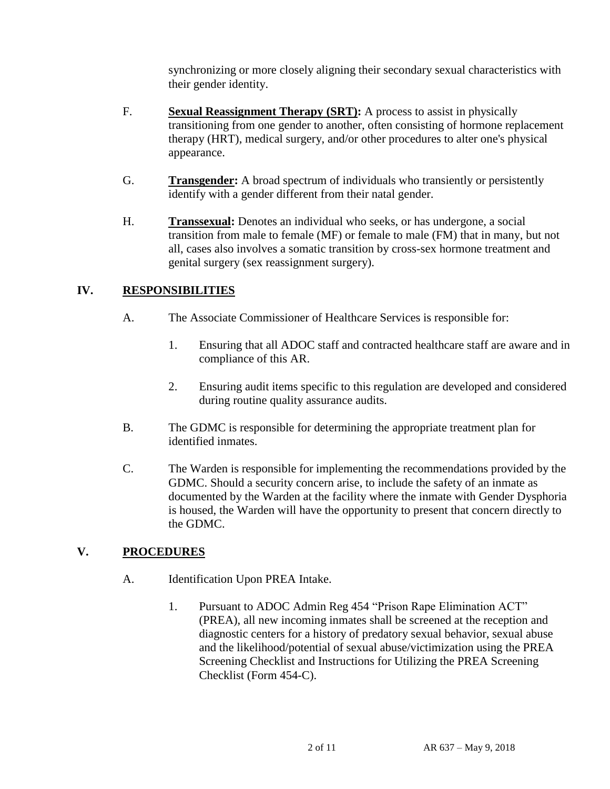synchronizing or more closely aligning their secondary sexual characteristics with their gender identity.

- F. **Sexual Reassignment Therapy (SRT):** A process to assist in physically transitioning from one gender to another, often consisting of hormone replacement therapy (HRT), medical surgery, and/or other procedures to alter one's physical appearance.
- G. **Transgender:** A broad spectrum of individuals who transiently or persistently identify with a gender different from their natal gender.
- H. **Transsexual:** Denotes an individual who seeks, or has undergone, a social transition from male to female (MF) or female to male (FM) that in many, but not all, cases also involves a somatic transition by cross-sex hormone treatment and genital surgery (sex reassignment surgery).

# **IV. RESPONSIBILITIES**

- A. The Associate Commissioner of Healthcare Services is responsible for:
	- 1. Ensuring that all ADOC staff and contracted healthcare staff are aware and in compliance of this AR.
	- 2. Ensuring audit items specific to this regulation are developed and considered during routine quality assurance audits.
- B. The GDMC is responsible for determining the appropriate treatment plan for identified inmates.
- C. The Warden is responsible for implementing the recommendations provided by the GDMC. Should a security concern arise, to include the safety of an inmate as documented by the Warden at the facility where the inmate with Gender Dysphoria is housed, the Warden will have the opportunity to present that concern directly to the GDMC.

# **V. PROCEDURES**

- A. Identification Upon PREA Intake.
	- 1. Pursuant to ADOC Admin Reg 454 "Prison Rape Elimination ACT" (PREA), all new incoming inmates shall be screened at the reception and diagnostic centers for a history of predatory sexual behavior, sexual abuse and the likelihood/potential of sexual abuse/victimization using the PREA Screening Checklist and Instructions for Utilizing the PREA Screening Checklist (Form 454-C).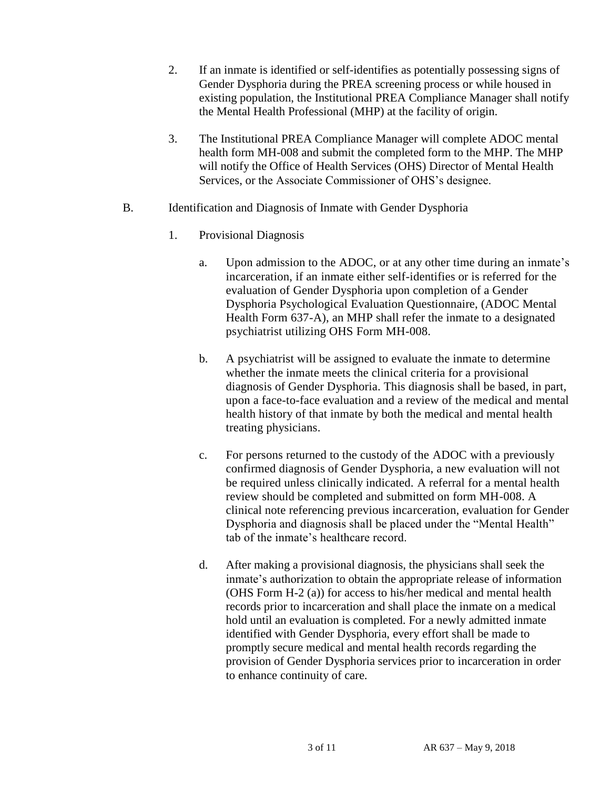- 2. If an inmate is identified or self-identifies as potentially possessing signs of Gender Dysphoria during the PREA screening process or while housed in existing population, the Institutional PREA Compliance Manager shall notify the Mental Health Professional (MHP) at the facility of origin.
- 3. The Institutional PREA Compliance Manager will complete ADOC mental health form MH-008 and submit the completed form to the MHP. The MHP will notify the Office of Health Services (OHS) Director of Mental Health Services, or the Associate Commissioner of OHS's designee.
- B. Identification and Diagnosis of Inmate with Gender Dysphoria
	- 1. Provisional Diagnosis
		- a. Upon admission to the ADOC, or at any other time during an inmate's incarceration, if an inmate either self-identifies or is referred for the evaluation of Gender Dysphoria upon completion of a Gender Dysphoria Psychological Evaluation Questionnaire, (ADOC Mental Health Form 637-A), an MHP shall refer the inmate to a designated psychiatrist utilizing OHS Form MH-008.
		- b. A psychiatrist will be assigned to evaluate the inmate to determine whether the inmate meets the clinical criteria for a provisional diagnosis of Gender Dysphoria. This diagnosis shall be based, in part, upon a face-to-face evaluation and a review of the medical and mental health history of that inmate by both the medical and mental health treating physicians.
		- c. For persons returned to the custody of the ADOC with a previously confirmed diagnosis of Gender Dysphoria, a new evaluation will not be required unless clinically indicated. A referral for a mental health review should be completed and submitted on form MH-008. A clinical note referencing previous incarceration, evaluation for Gender Dysphoria and diagnosis shall be placed under the "Mental Health" tab of the inmate's healthcare record.
		- d. After making a provisional diagnosis, the physicians shall seek the inmate's authorization to obtain the appropriate release of information (OHS Form H-2 (a)) for access to his/her medical and mental health records prior to incarceration and shall place the inmate on a medical hold until an evaluation is completed. For a newly admitted inmate identified with Gender Dysphoria, every effort shall be made to promptly secure medical and mental health records regarding the provision of Gender Dysphoria services prior to incarceration in order to enhance continuity of care.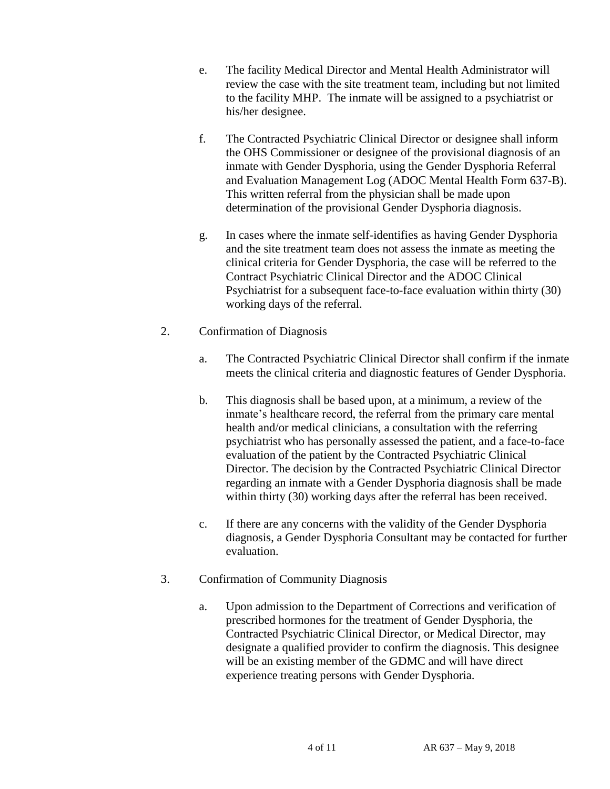- e. The facility Medical Director and Mental Health Administrator will review the case with the site treatment team, including but not limited to the facility MHP. The inmate will be assigned to a psychiatrist or his/her designee.
- f. The Contracted Psychiatric Clinical Director or designee shall inform the OHS Commissioner or designee of the provisional diagnosis of an inmate with Gender Dysphoria, using the Gender Dysphoria Referral and Evaluation Management Log (ADOC Mental Health Form 637-B). This written referral from the physician shall be made upon determination of the provisional Gender Dysphoria diagnosis.
- g. In cases where the inmate self-identifies as having Gender Dysphoria and the site treatment team does not assess the inmate as meeting the clinical criteria for Gender Dysphoria, the case will be referred to the Contract Psychiatric Clinical Director and the ADOC Clinical Psychiatrist for a subsequent face-to-face evaluation within thirty (30) working days of the referral.

## 2. Confirmation of Diagnosis

- a. The Contracted Psychiatric Clinical Director shall confirm if the inmate meets the clinical criteria and diagnostic features of Gender Dysphoria.
- b. This diagnosis shall be based upon, at a minimum, a review of the inmate's healthcare record, the referral from the primary care mental health and/or medical clinicians, a consultation with the referring psychiatrist who has personally assessed the patient, and a face-to-face evaluation of the patient by the Contracted Psychiatric Clinical Director. The decision by the Contracted Psychiatric Clinical Director regarding an inmate with a Gender Dysphoria diagnosis shall be made within thirty (30) working days after the referral has been received.
- c. If there are any concerns with the validity of the Gender Dysphoria diagnosis, a Gender Dysphoria Consultant may be contacted for further evaluation.
- 3. Confirmation of Community Diagnosis
	- a. Upon admission to the Department of Corrections and verification of prescribed hormones for the treatment of Gender Dysphoria, the Contracted Psychiatric Clinical Director, or Medical Director, may designate a qualified provider to confirm the diagnosis. This designee will be an existing member of the GDMC and will have direct experience treating persons with Gender Dysphoria.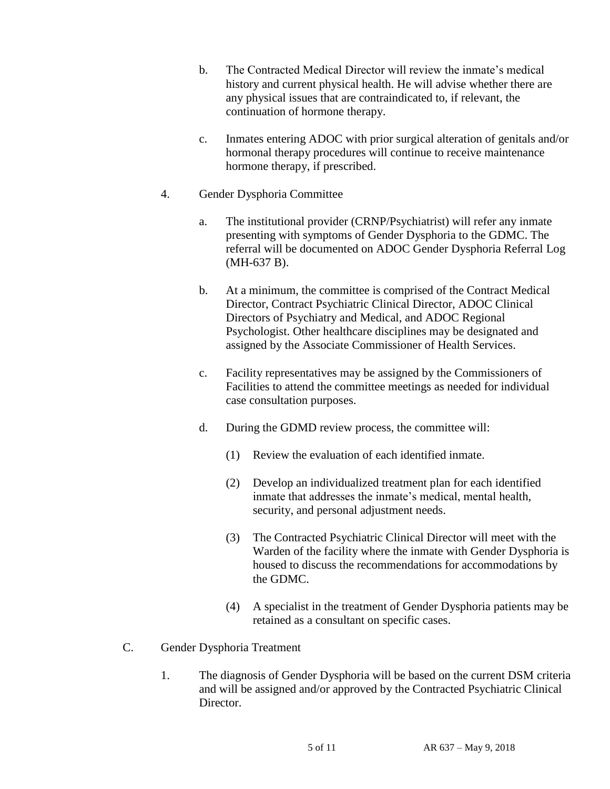- b. The Contracted Medical Director will review the inmate's medical history and current physical health. He will advise whether there are any physical issues that are contraindicated to, if relevant, the continuation of hormone therapy.
- c. Inmates entering ADOC with prior surgical alteration of genitals and/or hormonal therapy procedures will continue to receive maintenance hormone therapy, if prescribed.
- 4. Gender Dysphoria Committee
	- a. The institutional provider (CRNP/Psychiatrist) will refer any inmate presenting with symptoms of Gender Dysphoria to the GDMC. The referral will be documented on ADOC Gender Dysphoria Referral Log (MH-637 B).
	- b. At a minimum, the committee is comprised of the Contract Medical Director, Contract Psychiatric Clinical Director, ADOC Clinical Directors of Psychiatry and Medical, and ADOC Regional Psychologist. Other healthcare disciplines may be designated and assigned by the Associate Commissioner of Health Services.
	- c. Facility representatives may be assigned by the Commissioners of Facilities to attend the committee meetings as needed for individual case consultation purposes.
	- d. During the GDMD review process, the committee will:
		- (1) Review the evaluation of each identified inmate.
		- (2) Develop an individualized treatment plan for each identified inmate that addresses the inmate's medical, mental health, security, and personal adjustment needs.
		- (3) The Contracted Psychiatric Clinical Director will meet with the Warden of the facility where the inmate with Gender Dysphoria is housed to discuss the recommendations for accommodations by the GDMC.
		- (4) A specialist in the treatment of Gender Dysphoria patients may be retained as a consultant on specific cases.
- C. Gender Dysphoria Treatment
	- 1. The diagnosis of Gender Dysphoria will be based on the current DSM criteria and will be assigned and/or approved by the Contracted Psychiatric Clinical Director.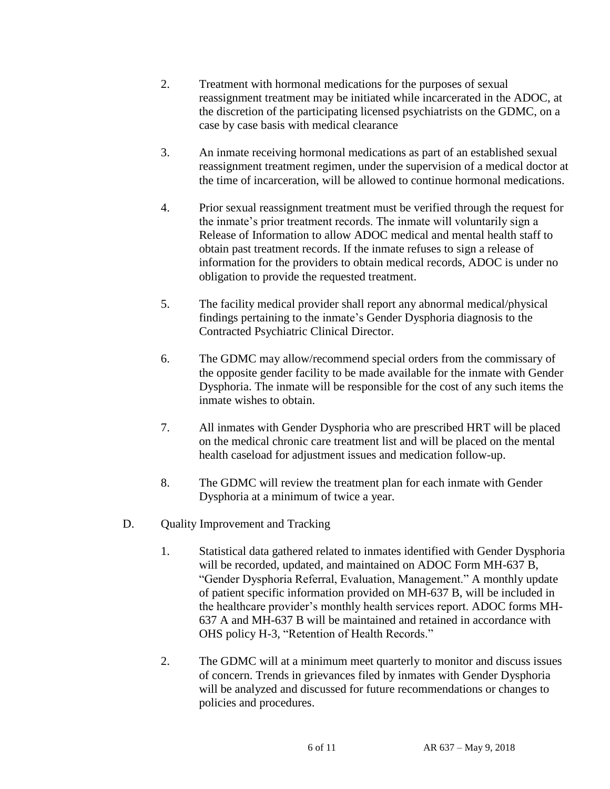- 2. Treatment with hormonal medications for the purposes of sexual reassignment treatment may be initiated while incarcerated in the ADOC, at the discretion of the participating licensed psychiatrists on the GDMC, on a case by case basis with medical clearance
- 3. An inmate receiving hormonal medications as part of an established sexual reassignment treatment regimen, under the supervision of a medical doctor at the time of incarceration, will be allowed to continue hormonal medications.
- 4. Prior sexual reassignment treatment must be verified through the request for the inmate's prior treatment records. The inmate will voluntarily sign a Release of Information to allow ADOC medical and mental health staff to obtain past treatment records. If the inmate refuses to sign a release of information for the providers to obtain medical records, ADOC is under no obligation to provide the requested treatment.
- 5. The facility medical provider shall report any abnormal medical/physical findings pertaining to the inmate's Gender Dysphoria diagnosis to the Contracted Psychiatric Clinical Director.
- 6. The GDMC may allow/recommend special orders from the commissary of the opposite gender facility to be made available for the inmate with Gender Dysphoria. The inmate will be responsible for the cost of any such items the inmate wishes to obtain.
- 7. All inmates with Gender Dysphoria who are prescribed HRT will be placed on the medical chronic care treatment list and will be placed on the mental health caseload for adjustment issues and medication follow-up.
- 8. The GDMC will review the treatment plan for each inmate with Gender Dysphoria at a minimum of twice a year.
- D. Quality Improvement and Tracking
	- 1. Statistical data gathered related to inmates identified with Gender Dysphoria will be recorded, updated, and maintained on ADOC Form MH-637 B, "Gender Dysphoria Referral, Evaluation, Management." A monthly update of patient specific information provided on MH-637 B, will be included in the healthcare provider's monthly health services report. ADOC forms MH-637 A and MH-637 B will be maintained and retained in accordance with OHS policy H-3, "Retention of Health Records."
	- 2. The GDMC will at a minimum meet quarterly to monitor and discuss issues of concern. Trends in grievances filed by inmates with Gender Dysphoria will be analyzed and discussed for future recommendations or changes to policies and procedures.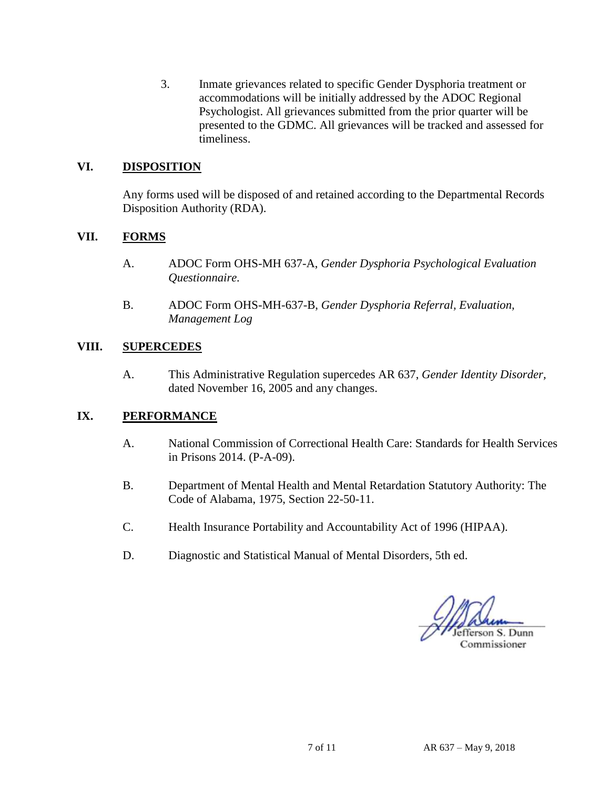3. Inmate grievances related to specific Gender Dysphoria treatment or accommodations will be initially addressed by the ADOC Regional Psychologist. All grievances submitted from the prior quarter will be presented to the GDMC. All grievances will be tracked and assessed for timeliness.

## **VI. DISPOSITION**

Any forms used will be disposed of and retained according to the Departmental Records Disposition Authority (RDA).

#### **VII. FORMS**

- A. ADOC Form OHS-MH 637-A, *Gender Dysphoria Psychological Evaluation Questionnaire.*
- B. ADOC Form OHS-MH-637-B, *Gender Dysphoria Referral, Evaluation, Management Log*

#### **VIII. SUPERCEDES**

A. This Administrative Regulation supercedes AR 637, *Gender Identity Disorder,* dated November 16, 2005 and any changes.

#### **IX. PERFORMANCE**

- A. National Commission of Correctional Health Care: Standards for Health Services in Prisons 2014. (P-A-09).
- B. Department of Mental Health and Mental Retardation Statutory Authority: The Code of Alabama, 1975, Section 22-50-11.
- C. Health Insurance Portability and Accountability Act of 1996 (HIPAA).
- D. Diagnostic and Statistical Manual of Mental Disorders, 5th ed.

efferson S. Dunn Commissioner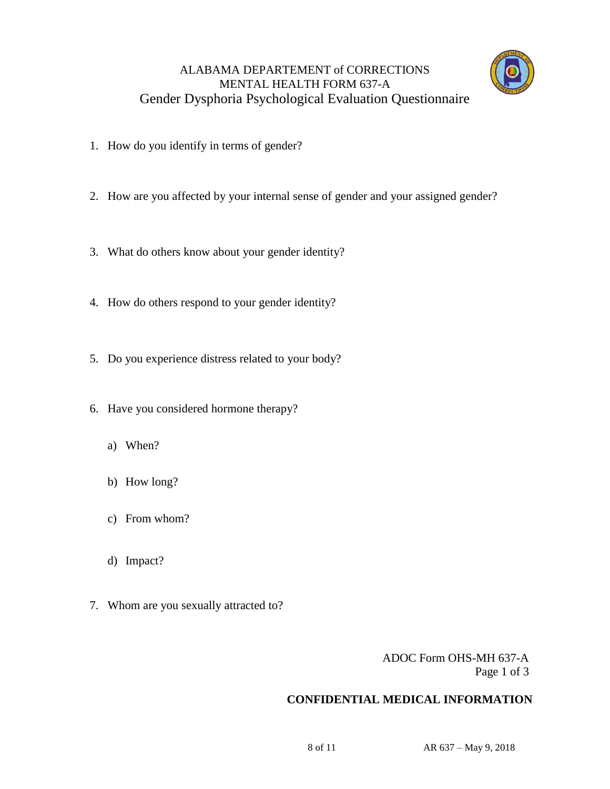# ALABAMA DEPARTEMENT of CORRECTIONS MENTAL HEALTH FORM 637-A Gender Dysphoria Psychological Evaluation Questionnaire



- 1. How do you identify in terms of gender?
- 2. How are you affected by your internal sense of gender and your assigned gender?
- 3. What do others know about your gender identity?
- 4. How do others respond to your gender identity?
- 5. Do you experience distress related to your body?
- 6. Have you considered hormone therapy?
	- a) When?
	- b) How long?
	- c) From whom?
	- d) Impact?
- 7. Whom are you sexually attracted to?

 ADOC Form OHS-MH 637-A Page 1 of 3

## **CONFIDENTIAL MEDICAL INFORMATION**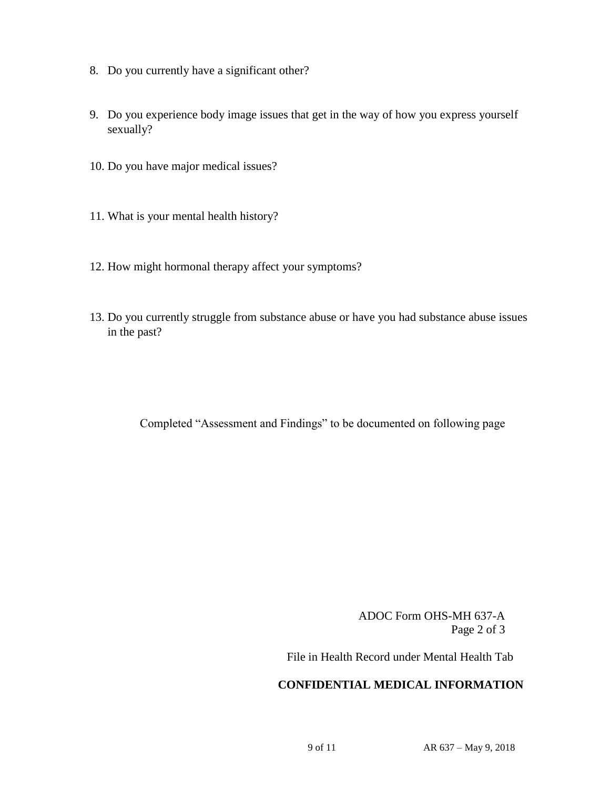- 8. Do you currently have a significant other?
- 9. Do you experience body image issues that get in the way of how you express yourself sexually?
- 10. Do you have major medical issues?
- 11. What is your mental health history?
- 12. How might hormonal therapy affect your symptoms?
- 13. Do you currently struggle from substance abuse or have you had substance abuse issues in the past?

Completed "Assessment and Findings" to be documented on following page

ADOC Form OHS-MH 637-A Page 2 of 3

File in Health Record under Mental Health Tab

## **CONFIDENTIAL MEDICAL INFORMATION**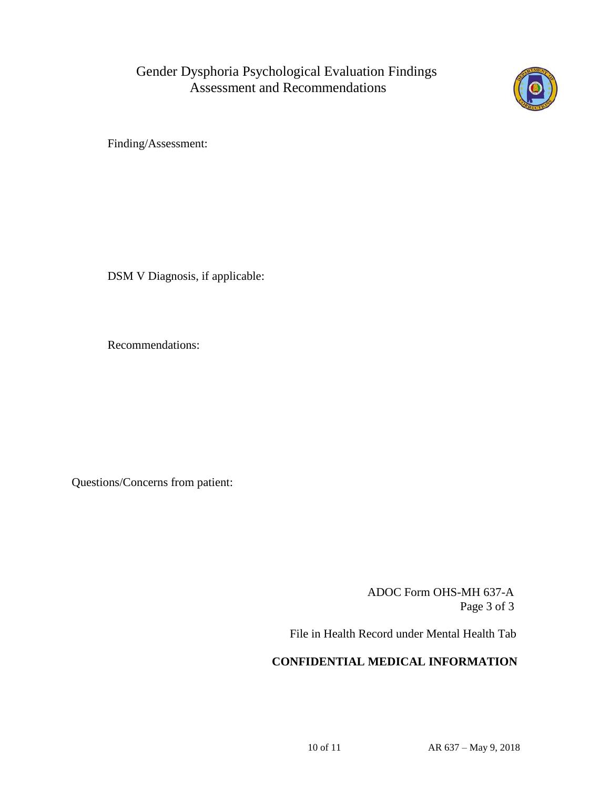

Finding/Assessment:

DSM V Diagnosis, if applicable:

Recommendations:

Questions/Concerns from patient:

 ADOC Form OHS-MH 637-A Page 3 of 3

File in Health Record under Mental Health Tab

# **CONFIDENTIAL MEDICAL INFORMATION**